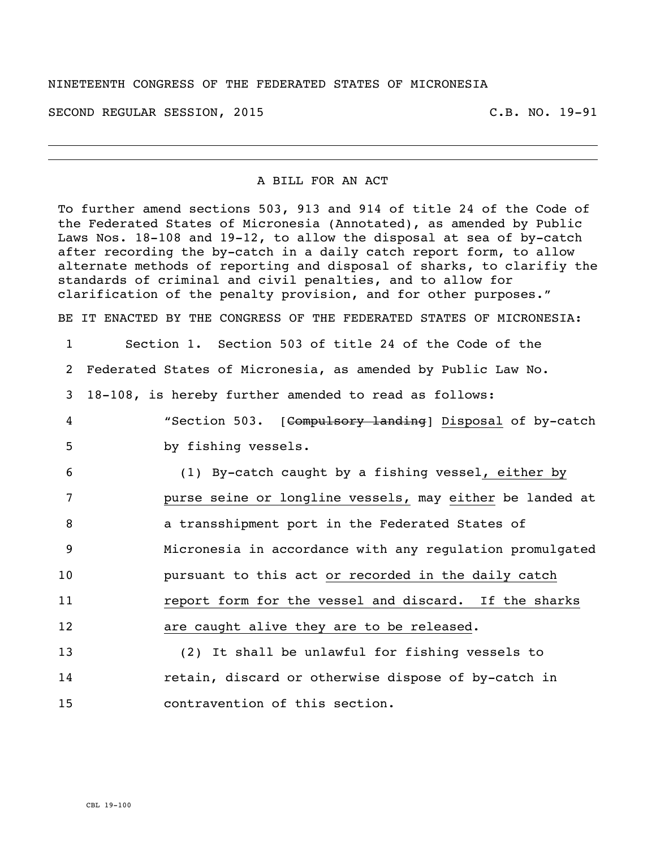## NINETEENTH CONGRESS OF THE FEDERATED STATES OF MICRONESIA

SECOND REGULAR SESSION, 2015 C.B. NO. 19-91

## A BILL FOR AN ACT

To further amend sections 503, 913 and 914 of title 24 of the Code of the Federated States of Micronesia (Annotated), as amended by Public Laws Nos. 18-108 and 19-12, to allow the disposal at sea of by-catch after recording the by-catch in a daily catch report form, to allow alternate methods of reporting and disposal of sharks, to clarifiy the standards of criminal and civil penalties, and to allow for clarification of the penalty provision, and for other purposes." BE IT ENACTED BY THE CONGRESS OF THE FEDERATED STATES OF MICRONESIA: Section 1. Section 503 of title 24 of the Code of the Federated States of Micronesia, as amended by Public Law No. 18-108, is hereby further amended to read as follows: "Section 503. [Compulsory landing] Disposal of by-catch by fishing vessels. (1) By-catch caught by a fishing vessel, either by purse seine or longline vessels, may either be landed at a transshipment port in the Federated States of Micronesia in accordance with any regulation promulgated pursuant to this act or recorded in the daily catch **11** report form for the vessel and discard. If the sharks **are caught alive they are to be released.**  (2) It shall be unlawful for fishing vessels to retain, discard or otherwise dispose of by-catch in

15 contravention of this section.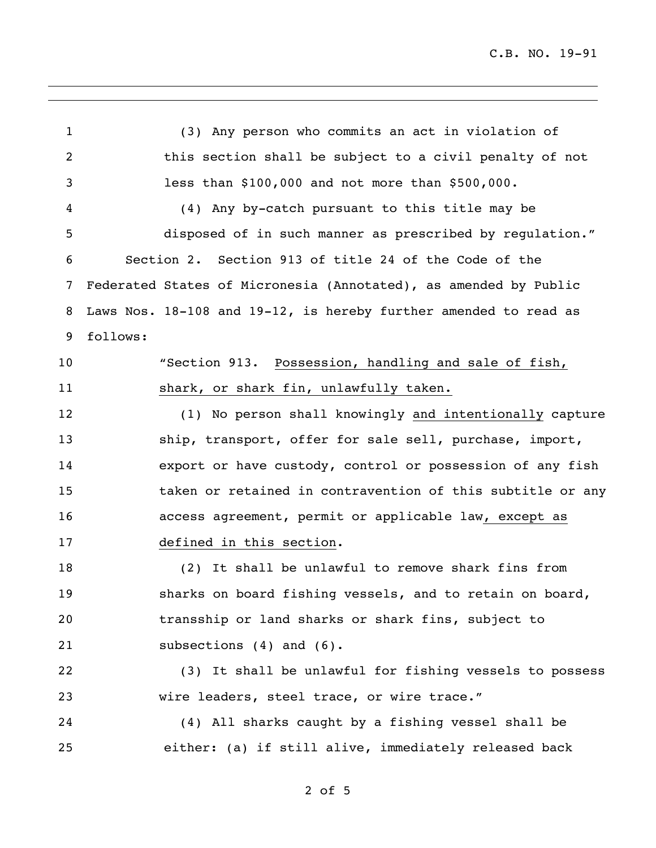C.B. NO. 19-91

 (3) Any person who commits an act in violation of this section shall be subject to a civil penalty of not less than \$100,000 and not more than \$500,000. (4) Any by-catch pursuant to this title may be disposed of in such manner as prescribed by regulation." Section 2. Section 913 of title 24 of the Code of the Federated States of Micronesia (Annotated), as amended by Public Laws Nos. 18-108 and 19-12, is hereby further amended to read as follows: "Section 913. Possession, handling and sale of fish, 11 shark, or shark fin, unlawfully taken. (1) No person shall knowingly and intentionally capture 13 ship, transport, offer for sale sell, purchase, import, export or have custody, control or possession of any fish taken or retained in contravention of this subtitle or any access agreement, permit or applicable law, except as defined in this section. (2) It shall be unlawful to remove shark fins from sharks on board fishing vessels, and to retain on board, transship or land sharks or shark fins, subject to 21 subsections (4) and (6). (3) It shall be unlawful for fishing vessels to possess wire leaders, steel trace, or wire trace." (4) All sharks caught by a fishing vessel shall be either: (a) if still alive, immediately released back

of 5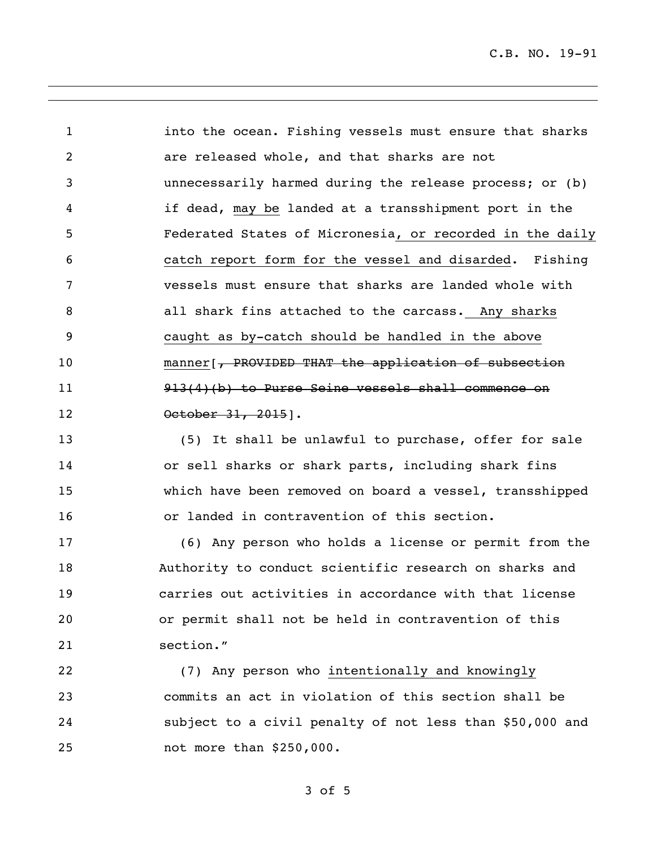C.B. NO. 19-91

 into the ocean. Fishing vessels must ensure that sharks are released whole, and that sharks are not unnecessarily harmed during the release process; or (b) if dead, may be landed at a transshipment port in the Federated States of Micronesia, or recorded in the daily catch report form for the vessel and disarded. Fishing vessels must ensure that sharks are landed whole with all shark fins attached to the carcass. Any sharks caught as by-catch should be handled in the above 10 manner [, PROVIDED THAT the application of subsection 913(4)(b) to Purse Seine vessels shall commence on 12 0ctober 31, 2015].

 (5) It shall be unlawful to purchase, offer for sale or sell sharks or shark parts, including shark fins which have been removed on board a vessel, transshipped or landed in contravention of this section.

 (6) Any person who holds a license or permit from the Authority to conduct scientific research on sharks and carries out activities in accordance with that license or permit shall not be held in contravention of this section."

 (7) Any person who intentionally and knowingly commits an act in violation of this section shall be subject to a civil penalty of not less than \$50,000 and not more than \$250,000.

of 5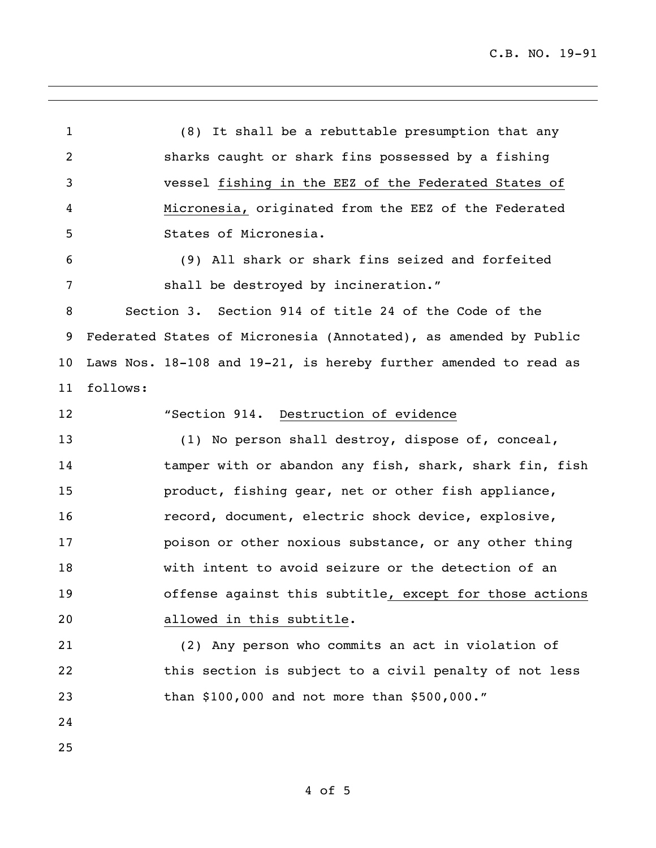C.B. NO. 19-91

 (8) It shall be a rebuttable presumption that any sharks caught or shark fins possessed by a fishing vessel fishing in the EEZ of the Federated States of Micronesia, originated from the EEZ of the Federated States of Micronesia. (9) All shark or shark fins seized and forfeited shall be destroyed by incineration." Section 3. Section 914 of title 24 of the Code of the Federated States of Micronesia (Annotated), as amended by Public Laws Nos. 18-108 and 19-21, is hereby further amended to read as follows: "Section 914. Destruction of evidence (1) No person shall destroy, dispose of, conceal, 14 tamper with or abandon any fish, shark, shark fin, fish product, fishing gear, net or other fish appliance, record, document, electric shock device, explosive, poison or other noxious substance, or any other thing with intent to avoid seizure or the detection of an offense against this subtitle, except for those actions allowed in this subtitle. (2) Any person who commits an act in violation of this section is subject to a civil penalty of not less than \$100,000 and not more than \$500,000." 

of 5